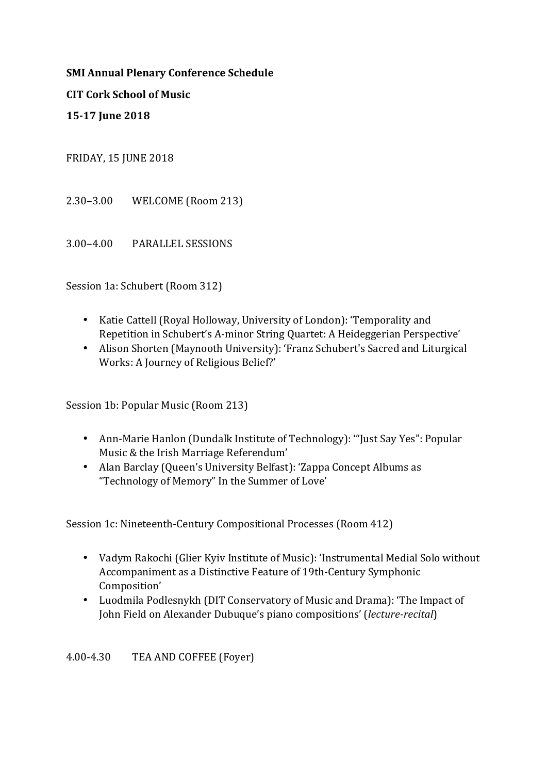**SMI Annual Plenary Conference Schedule** 

**CIT Cork School of Music** 

**15-17 June 2018**

FRIDAY, 15 JUNE 2018

2.30–3.00 WELCOME (Room 213)

3.00–4.00 PARALLEL SESSIONS

Session 1a: Schubert (Room 312)

- Katie Cattell (Royal Holloway, University of London): 'Temporality and Repetition in Schubert's A-minor String Quartet: A Heideggerian Perspective'
- Alison Shorten (Maynooth University): 'Franz Schubert's Sacred and Liturgical Works: A Journey of Religious Belief?'

Session 1b: Popular Music (Room 213)

- Ann-Marie Hanlon (Dundalk Institute of Technology): "Just Say Yes": Popular Music & the Irish Marriage Referendum'
- Alan Barclay (Queen's University Belfast): 'Zappa Concept Albums as "Technology of Memory" In the Summer of Love'

Session 1c: Nineteenth-Century Compositional Processes (Room 412)

- Vadym Rakochi (Glier Kyiv Institute of Music): 'Instrumental Medial Solo without Accompaniment as a Distinctive Feature of 19th-Century Symphonic Composition'
- Luodmila Podlesnykh (DIT Conservatory of Music and Drama): 'The Impact of John Field on Alexander Dubuque's piano compositions' (*lecture-recital*)

4.00-4.30 TEA AND COFFEE (Foyer)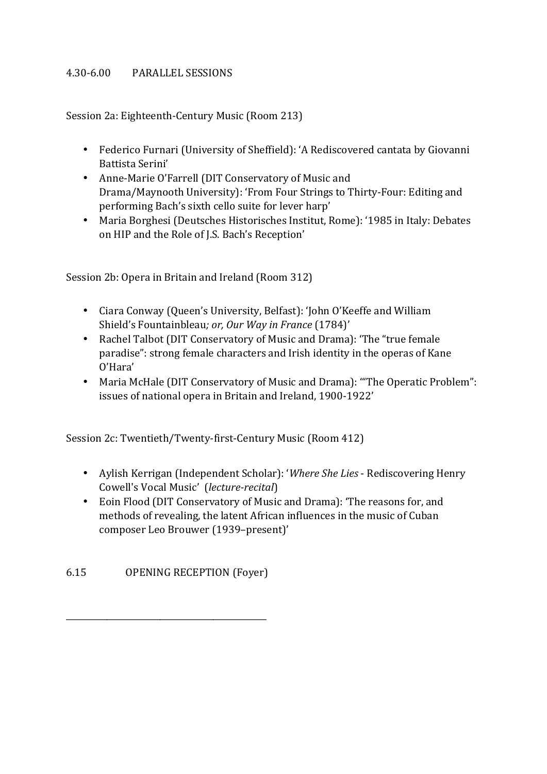### 4.30-6.00 PARALLEL SESSIONS

Session 2a: Eighteenth-Century Music (Room 213)

- Federico Furnari (University of Sheffield): 'A Rediscovered cantata by Giovanni Battista Serini'
- Anne-Marie O'Farrell (DIT Conservatory of Music and Drama/Maynooth University): 'From Four Strings to Thirty-Four: Editing and performing Bach's sixth cello suite for lever harp'
- Maria Borghesi (Deutsches Historisches Institut, Rome): '1985 in Italy: Debates on HIP and the Role of J.S. Bach's Reception'

Session 2b: Opera in Britain and Ireland (Room 312)

- Ciara Conway (Queen's University, Belfast): 'John O'Keeffe and William Shield's Fountainbleau; or, Our Way in France (1784)'
- Rachel Talbot (DIT Conservatory of Music and Drama): 'The "true female paradise": strong female characters and Irish identity in the operas of Kane O'Hara'
- Maria McHale (DIT Conservatory of Music and Drama): "The Operatic Problem": issues of national opera in Britain and Ireland, 1900-1922'

Session 2c: Twentieth/Twenty-first-Century Music (Room 412)

- Aylish Kerrigan (Independent Scholar): '*Where She Lies* Rediscovering Henry Cowell's Vocal Music' (*lecture-recital*)
- Eoin Flood (DIT Conservatory of Music and Drama): 'The reasons for, and methods of revealing, the latent African influences in the music of Cuban composer Leo Brouwer (1939–present)'

6.15 OPENING RECEPTION (Fover)

\_\_\_\_\_\_\_\_\_\_\_\_\_\_\_\_\_\_\_\_\_\_\_\_\_\_\_\_\_\_\_\_\_\_\_\_\_\_\_\_\_\_\_\_\_\_\_\_\_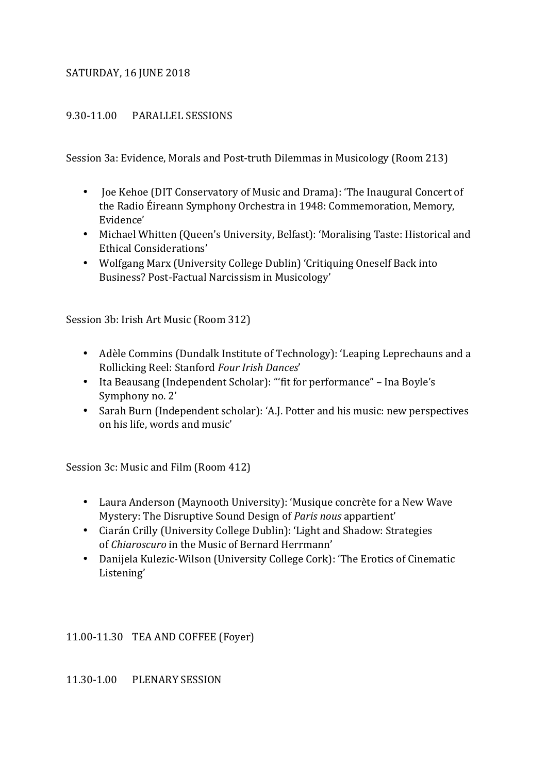#### SATURDAY, 16 JUNE 2018

### 9.30-11.00 PARALLEL SESSIONS

Session 3a: Evidence, Morals and Post-truth Dilemmas in Musicology (Room 213)

- Joe Kehoe (DIT Conservatory of Music and Drama): 'The Inaugural Concert of the Radio Éireann Symphony Orchestra in 1948: Commemoration, Memory, Evidence'
- Michael Whitten (Queen's University, Belfast): 'Moralising Taste: Historical and Ethical Considerations'
- Wolfgang Marx (University College Dublin) 'Critiquing Oneself Back into Business? Post-Factual Narcissism in Musicology'

Session 3b: Irish Art Music (Room 312)

- Adèle Commins (Dundalk Institute of Technology): 'Leaping Leprechauns and a Rollicking Reel: Stanford *Four Irish Dances*'
- Ita Beausang (Independent Scholar): "'fit for performance" Ina Boyle's Symphony no. 2'
- Sarah Burn (Independent scholar): 'A.J. Potter and his music: new perspectives on his life, words and music'

Session 3c: Music and Film (Room 412)

- Laura Anderson (Maynooth University): 'Musique concrète for a New Wave Mystery: The Disruptive Sound Design of *Paris nous* appartient'
- Ciarán Crilly (University College Dublin): 'Light and Shadow: Strategies of *Chiaroscuro* in the Music of Bernard Herrmann'
- Danijela Kulezic-Wilson (University College Cork): 'The Erotics of Cinematic Listening'

11.00-11.30 TEA AND COFFEE (Foyer)

11.30-1.00 PLENARY SESSION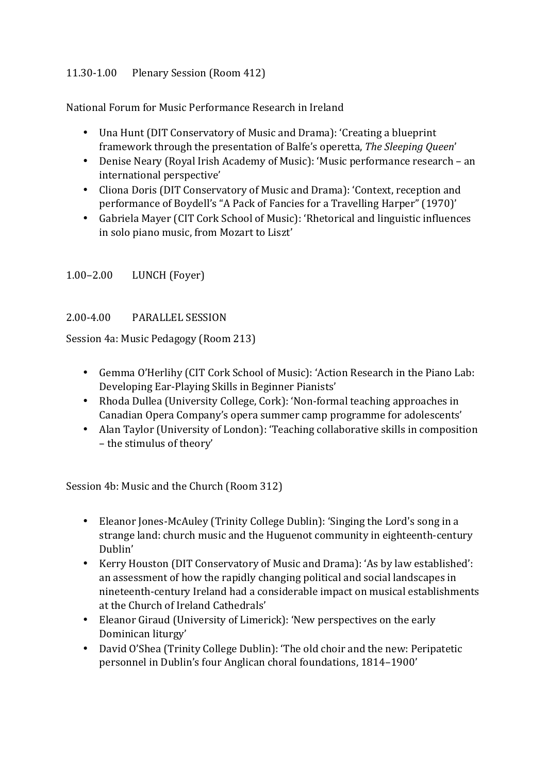# 11.30-1.00 Plenary Session (Room 412)

National Forum for Music Performance Research in Ireland

- Una Hunt (DIT Conservatory of Music and Drama): 'Creating a blueprint framework through the presentation of Balfe's operetta, *The Sleeping Queen'*
- Denise Neary (Royal Irish Academy of Music): 'Music performance research an international perspective'
- Cliona Doris (DIT Conservatory of Music and Drama): 'Context, reception and performance of Boydell's "A Pack of Fancies for a Travelling Harper" (1970)'
- Gabriela Mayer (CIT Cork School of Music): 'Rhetorical and linguistic influences in solo piano music, from Mozart to Liszt'

# 1.00–2.00 LUNCH (Foyer)

# 2.00-4.00 PARALLEL SESSION

Session 4a: Music Pedagogy (Room 213)

- Gemma O'Herlihy (CIT Cork School of Music): 'Action Research in the Piano Lab: Developing Ear-Playing Skills in Beginner Pianists'
- Rhoda Dullea (University College, Cork): 'Non-formal teaching approaches in Canadian Opera Company's opera summer camp programme for adolescents'
- Alan Taylor (University of London): 'Teaching collaborative skills in composition - the stimulus of theory'

Session 4b: Music and the Church (Room 312)

- Eleanor Jones-McAuley (Trinity College Dublin): 'Singing the Lord's song in a strange land: church music and the Huguenot community in eighteenth-century Dublin'
- Kerry Houston (DIT Conservatory of Music and Drama): 'As by law established': an assessment of how the rapidly changing political and social landscapes in nineteenth-century Ireland had a considerable impact on musical establishments at the Church of Ireland Cathedrals'
- Eleanor Giraud (University of Limerick): 'New perspectives on the early Dominican liturgy'
- David O'Shea (Trinity College Dublin): 'The old choir and the new: Peripatetic personnel in Dublin's four Anglican choral foundations, 1814–1900'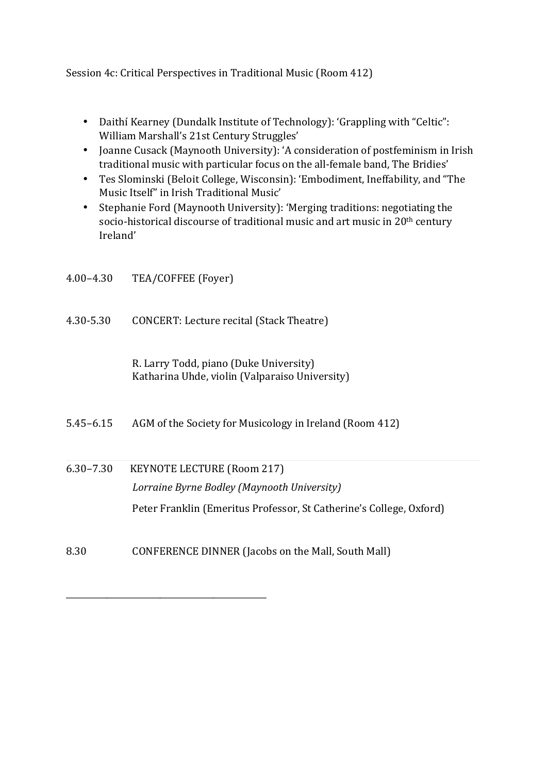Session 4c: Critical Perspectives in Traditional Music (Room 412)

- Daithí Kearney (Dundalk Institute of Technology): 'Grappling with "Celtic": William Marshall's 21st Century Struggles'
- Joanne Cusack (Maynooth University): 'A consideration of postfeminism in Irish traditional music with particular focus on the all-female band, The Bridies'
- Tes Slominski (Beloit College, Wisconsin): 'Embodiment, Ineffability, and "The Music Itself" in Irish Traditional Music'
- Stephanie Ford (Maynooth University): 'Merging traditions: negotiating the socio-historical discourse of traditional music and art music in 20<sup>th</sup> century Ireland'

| $4.00 - 4.30$ | TEA/COFFEE (Foyer)                                                                       |
|---------------|------------------------------------------------------------------------------------------|
| 4.30-5.30     | CONCERT: Lecture recital (Stack Theatre)                                                 |
|               | R. Larry Todd, piano (Duke University)<br>Katharina Uhde, violin (Valparaiso University) |
| $5.45 - 6.15$ | AGM of the Society for Musicology in Ireland (Room 412)                                  |
| $6.30 - 7.30$ | <b>KEYNOTE LECTURE (Room 217)</b>                                                        |
|               | Lorraine Byrne Bodley (Maynooth University)                                              |
|               | Peter Franklin (Emeritus Professor, St Catherine's College, Oxford)                      |
| 8.30          | CONFERENCE DINNER (Jacobs on the Mall, South Mall)                                       |

\_\_\_\_\_\_\_\_\_\_\_\_\_\_\_\_\_\_\_\_\_\_\_\_\_\_\_\_\_\_\_\_\_\_\_\_\_\_\_\_\_\_\_\_\_\_\_\_\_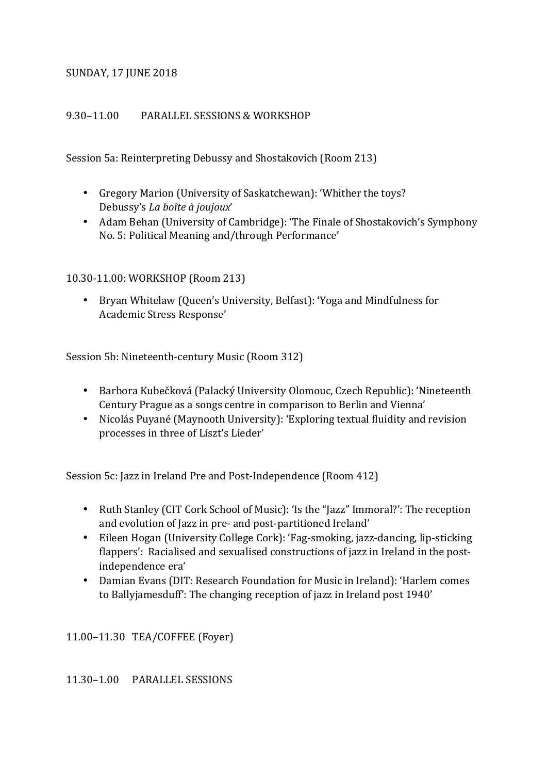### **SUNDAY, 17 JUNE 2018**

#### 9.30–11.00 PARALLEL SESSIONS & WORKSHOP

Session 5a: Reinterpreting Debussy and Shostakovich (Room 213)

- Gregory Marion (University of Saskatchewan): 'Whither the toys? Debussy's *La boîte à joujoux*'
- Adam Behan (University of Cambridge): 'The Finale of Shostakovich's Symphony No. 5: Political Meaning and/through Performance'

10.30-11.00: WORKSHOP (Room 213)

• Bryan Whitelaw (Queen's University, Belfast): 'Yoga and Mindfulness for Academic Stress Response'

Session 5b: Nineteenth-century Music (Room 312)

- Barbora Kubečková (Palacký University Olomouc, Czech Republic): 'Nineteenth Century Prague as a songs centre in comparison to Berlin and Vienna'
- Nicolás Puyané (Maynooth University): 'Exploring textual fluidity and revision processes in three of Liszt's Lieder'

Session 5c: Jazz in Ireland Pre and Post-Independence (Room 412)

- Ruth Stanley (CIT Cork School of Music): 'Is the "Jazz" Immoral?': The reception and evolution of Jazz in pre- and post-partitioned Ireland'
- Eileen Hogan (University College Cork): 'Fag-smoking, jazz-dancing, lip-sticking flappers': Racialised and sexualised constructions of jazz in Ireland in the postindependence era'
- Damian Evans (DIT: Research Foundation for Music in Ireland): 'Harlem comes to Ballyjamesduff': The changing reception of jazz in Ireland post 1940'

11.00–11.30 TEA/COFFEE (Foyer)

11.30–1.00 PARALLEL SESSIONS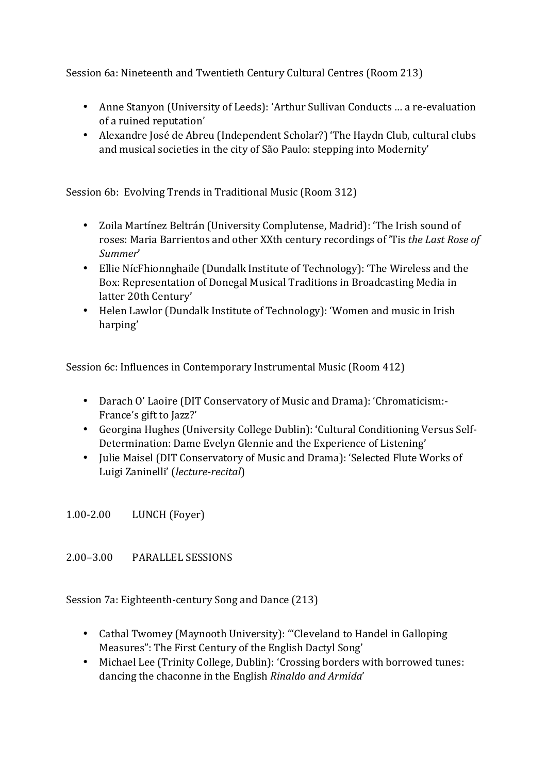Session 6a: Nineteenth and Twentieth Century Cultural Centres (Room 213)

- Anne Stanyon (University of Leeds): 'Arthur Sullivan Conducts ... a re-evaluation of a ruined reputation'
- Alexandre José de Abreu (Independent Scholar?) 'The Haydn Club, cultural clubs and musical societies in the city of São Paulo: stepping into Modernity'

Session 6b: Evolving Trends in Traditional Music (Room 312)

- Zoila Martínez Beltrán (University Complutense, Madrid): 'The Irish sound of roses: Maria Barrientos and other XXth century recordings of 'Tis *the Last Rose of Summer*'
- Ellie NícFhionnghaile (Dundalk Institute of Technology): 'The Wireless and the Box: Representation of Donegal Musical Traditions in Broadcasting Media in latter 20th Century'
- Helen Lawlor (Dundalk Institute of Technology): 'Women and music in Irish harping'

Session 6c: Influences in Contemporary Instrumental Music (Room 412)

- Darach O' Laoire (DIT Conservatory of Music and Drama): 'Chromaticism:-France's gift to Jazz?'
- Georgina Hughes (University College Dublin): 'Cultural Conditioning Versus Self-Determination: Dame Evelyn Glennie and the Experience of Listening'
- Julie Maisel (DIT Conservatory of Music and Drama): 'Selected Flute Works of Luigi Zaninelli' (*lecture-recital*)

1.00-2.00 LUNCH (Foyer)

2.00–3.00 PARALLEL SESSIONS 

Session 7a: Eighteenth-century Song and Dance (213)

- Cathal Twomey (Maynooth University): "Cleveland to Handel in Galloping Measures": The First Century of the English Dactyl Song'
- Michael Lee (Trinity College, Dublin): 'Crossing borders with borrowed tunes: dancing the chaconne in the English *Rinaldo and Armida*'